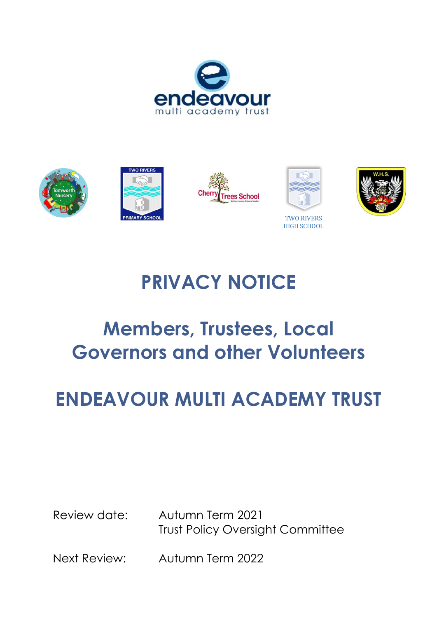









TWO RIVERS HIGH SCHOOL



# **PRIVACY NOTICE**

# **Members, Trustees, Local Governors and other Volunteers**

# **ENDEAVOUR MULTI ACADEMY TRUST**

Review date: Autumn Term 2021 Trust Policy Oversight Committee

Next Review: Autumn Term 2022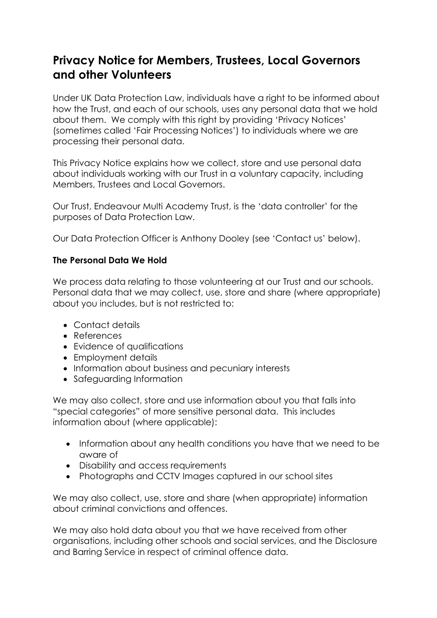## **Privacy Notice for Members, Trustees, Local Governors and other Volunteers**

Under UK Data Protection Law, individuals have a right to be informed about how the Trust, and each of our schools, uses any personal data that we hold about them. We comply with this right by providing 'Privacy Notices' (sometimes called 'Fair Processing Notices') to individuals where we are processing their personal data.

This Privacy Notice explains how we collect, store and use personal data about individuals working with our Trust in a voluntary capacity, including Members, Trustees and Local Governors.

Our Trust, Endeavour Multi Academy Trust, is the 'data controller' for the purposes of Data Protection Law.

Our Data Protection Officer is Anthony Dooley (see 'Contact us' below).

#### **The Personal Data We Hold**

We process data relating to those volunteering at our Trust and our schools. Personal data that we may collect, use, store and share (where appropriate) about you includes, but is not restricted to:

- Contact details
- References
- Evidence of qualifications
- Employment details
- Information about business and pecuniary interests
- Safeguarding Information

We may also collect, store and use information about you that falls into "special categories" of more sensitive personal data. This includes information about (where applicable):

- Information about any health conditions you have that we need to be aware of
- Disability and access requirements
- Photographs and CCTV Images captured in our school sites

We may also collect, use, store and share (when appropriate) information about criminal convictions and offences.

We may also hold data about you that we have received from other organisations, including other schools and social services, and the Disclosure and Barring Service in respect of criminal offence data.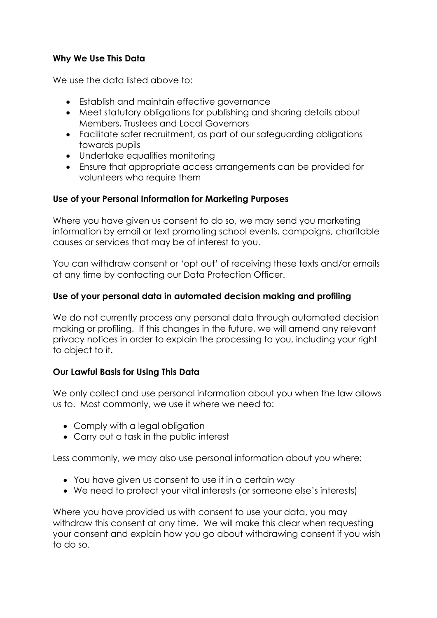#### **Why We Use This Data**

We use the data listed above to:

- Establish and maintain effective governance
- Meet statutory obligations for publishing and sharing details about Members, Trustees and Local Governors
- Facilitate safer recruitment, as part of our safeguarding obligations towards pupils
- Undertake equalities monitoring
- Ensure that appropriate access arrangements can be provided for volunteers who require them

#### **Use of your Personal Information for Marketing Purposes**

Where you have given us consent to do so, we may send you marketing information by email or text promoting school events, campaigns, charitable causes or services that may be of interest to you.

You can withdraw consent or 'opt out' of receiving these texts and/or emails at any time by contacting our Data Protection Officer.

#### **Use of your personal data in automated decision making and profiling**

We do not currently process any personal data through automated decision making or profiling. If this changes in the future, we will amend any relevant privacy notices in order to explain the processing to you, including your right to object to it.

### **Our Lawful Basis for Using This Data**

We only collect and use personal information about you when the law allows us to. Most commonly, we use it where we need to:

- Comply with a legal obligation
- Carry out a task in the public interest

Less commonly, we may also use personal information about you where:

- You have given us consent to use it in a certain way
- We need to protect your vital interests (or someone else's interests)

Where you have provided us with consent to use your data, you may withdraw this consent at any time. We will make this clear when requesting your consent and explain how you go about withdrawing consent if you wish to do so.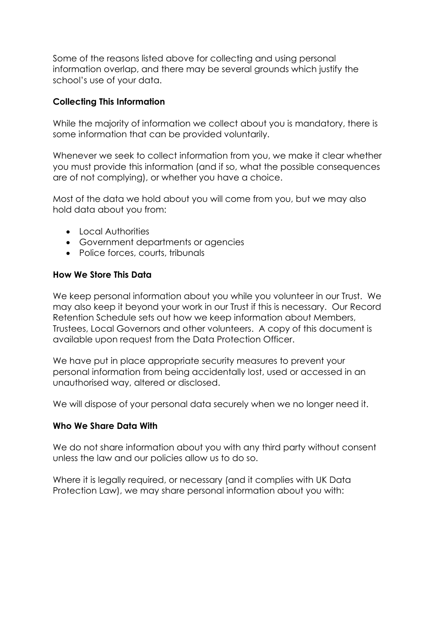Some of the reasons listed above for collecting and using personal information overlap, and there may be several grounds which justify the school's use of your data.

#### **Collecting This Information**

While the majority of information we collect about you is mandatory, there is some information that can be provided voluntarily.

Whenever we seek to collect information from you, we make it clear whether you must provide this information (and if so, what the possible consequences are of not complying), or whether you have a choice.

Most of the data we hold about you will come from you, but we may also hold data about you from:

- Local Authorities
- Government departments or agencies
- Police forces, courts, tribunals

#### **How We Store This Data**

We keep personal information about you while you volunteer in our Trust. We may also keep it beyond your work in our Trust if this is necessary. Our Record Retention Schedule sets out how we keep information about Members, Trustees, Local Governors and other volunteers. A copy of this document is available upon request from the Data Protection Officer.

We have put in place appropriate security measures to prevent your personal information from being accidentally lost, used or accessed in an unauthorised way, altered or disclosed.

We will dispose of your personal data securely when we no longer need it.

#### **Who We Share Data With**

We do not share information about you with any third party without consent unless the law and our policies allow us to do so.

Where it is legally required, or necessary (and it complies with UK Data Protection Law), we may share personal information about you with: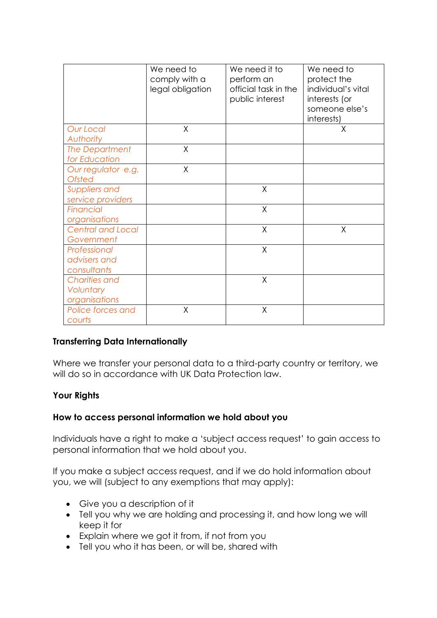|                                                    | We need to<br>comply with a<br>legal obligation | We need it to<br>perform an<br>official task in the<br>public interest | We need to<br>protect the<br>individual's vital<br>interests (or<br>someone else's<br>interests) |
|----------------------------------------------------|-------------------------------------------------|------------------------------------------------------------------------|--------------------------------------------------------------------------------------------------|
| <b>Our Local</b><br>Authority                      | X                                               |                                                                        | X                                                                                                |
| <b>The Department</b><br>for Education             | X                                               |                                                                        |                                                                                                  |
| Our regulator e.g.<br><b>Ofsted</b>                | $\sf X$                                         |                                                                        |                                                                                                  |
| Suppliers and<br>service providers                 |                                                 | $\chi$                                                                 |                                                                                                  |
| <b>Financial</b><br>organisations                  |                                                 | $\sf X$                                                                |                                                                                                  |
| <b>Central and Local</b><br>Government             |                                                 | X                                                                      | X                                                                                                |
| Professional<br>advisers and<br>consultants        |                                                 | X                                                                      |                                                                                                  |
| <b>Charities and</b><br>Voluntary<br>organisations |                                                 | X                                                                      |                                                                                                  |
| Police forces and<br>courts                        | X                                               | X                                                                      |                                                                                                  |

#### **Transferring Data Internationally**

Where we transfer your personal data to a third-party country or territory, we will do so in accordance with UK Data Protection law.

#### **Your Rights**

#### **How to access personal information we hold about you**

Individuals have a right to make a 'subject access request' to gain access to personal information that we hold about you.

If you make a subject access request, and if we do hold information about you, we will (subject to any exemptions that may apply):

- Give you a description of it
- Tell you why we are holding and processing it, and how long we will keep it for
- Explain where we got it from, if not from you
- Tell you who it has been, or will be, shared with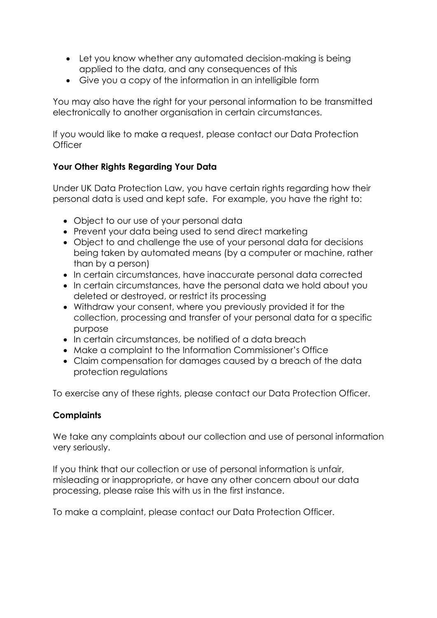- Let you know whether any automated decision-making is being applied to the data, and any consequences of this
- Give you a copy of the information in an intelligible form

You may also have the right for your personal information to be transmitted electronically to another organisation in certain circumstances.

If you would like to make a request, please contact our Data Protection **Officer** 

### **Your Other Rights Regarding Your Data**

Under UK Data Protection Law, you have certain rights regarding how their personal data is used and kept safe. For example, you have the right to:

- Object to our use of your personal data
- Prevent your data being used to send direct marketing
- Object to and challenge the use of your personal data for decisions being taken by automated means (by a computer or machine, rather than by a person)
- In certain circumstances, have inaccurate personal data corrected
- In certain circumstances, have the personal data we hold about you deleted or destroyed, or restrict its processing
- Withdraw your consent, where you previously provided it for the collection, processing and transfer of your personal data for a specific purpose
- In certain circumstances, be notified of a data breach
- Make a complaint to the Information Commissioner's Office
- Claim compensation for damages caused by a breach of the data protection regulations

To exercise any of these rights, please contact our Data Protection Officer.

#### **Complaints**

We take any complaints about our collection and use of personal information very seriously.

If you think that our collection or use of personal information is unfair, misleading or inappropriate, or have any other concern about our data processing, please raise this with us in the first instance.

To make a complaint, please contact our Data Protection Officer.